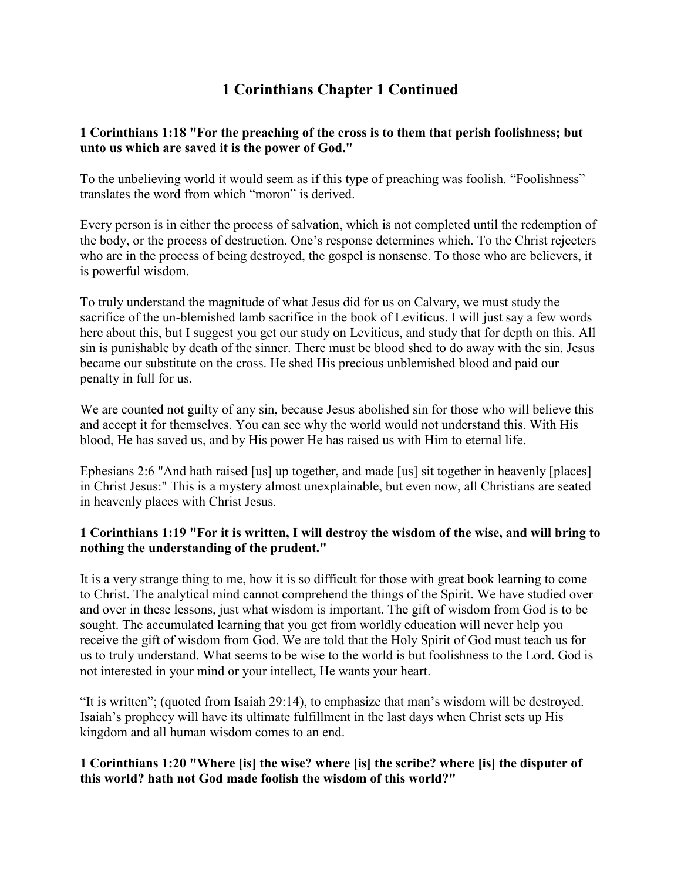# **1 Corinthians Chapter 1 Continued**

#### **1 Corinthians 1:18 "For the preaching of the cross is to them that perish foolishness; but unto us which are saved it is the power of God."**

To the unbelieving world it would seem as if this type of preaching was foolish. "Foolishness" translates the word from which "moron" is derived.

Every person is in either the process of salvation, which is not completed until the redemption of the body, or the process of destruction. One's response determines which. To the Christ rejecters who are in the process of being destroyed, the gospel is nonsense. To those who are believers, it is powerful wisdom.

To truly understand the magnitude of what Jesus did for us on Calvary, we must study the sacrifice of the un-blemished lamb sacrifice in the book of Leviticus. I will just say a few words here about this, but I suggest you get our study on Leviticus, and study that for depth on this. All sin is punishable by death of the sinner. There must be blood shed to do away with the sin. Jesus became our substitute on the cross. He shed His precious unblemished blood and paid our penalty in full for us.

We are counted not guilty of any sin, because Jesus abolished sin for those who will believe this and accept it for themselves. You can see why the world would not understand this. With His blood, He has saved us, and by His power He has raised us with Him to eternal life.

Ephesians 2:6 "And hath raised [us] up together, and made [us] sit together in heavenly [places] in Christ Jesus:" This is a mystery almost unexplainable, but even now, all Christians are seated in heavenly places with Christ Jesus.

#### **1 Corinthians 1:19 "For it is written, I will destroy the wisdom of the wise, and will bring to nothing the understanding of the prudent."**

It is a very strange thing to me, how it is so difficult for those with great book learning to come to Christ. The analytical mind cannot comprehend the things of the Spirit. We have studied over and over in these lessons, just what wisdom is important. The gift of wisdom from God is to be sought. The accumulated learning that you get from worldly education will never help you receive the gift of wisdom from God. We are told that the Holy Spirit of God must teach us for us to truly understand. What seems to be wise to the world is but foolishness to the Lord. God is not interested in your mind or your intellect, He wants your heart.

"It is written"; (quoted from Isaiah 29:14), to emphasize that man's wisdom will be destroyed. Isaiah's prophecy will have its ultimate fulfillment in the last days when Christ sets up His kingdom and all human wisdom comes to an end.

#### **1 Corinthians 1:20 "Where [is] the wise? where [is] the scribe? where [is] the disputer of this world? hath not God made foolish the wisdom of this world?"**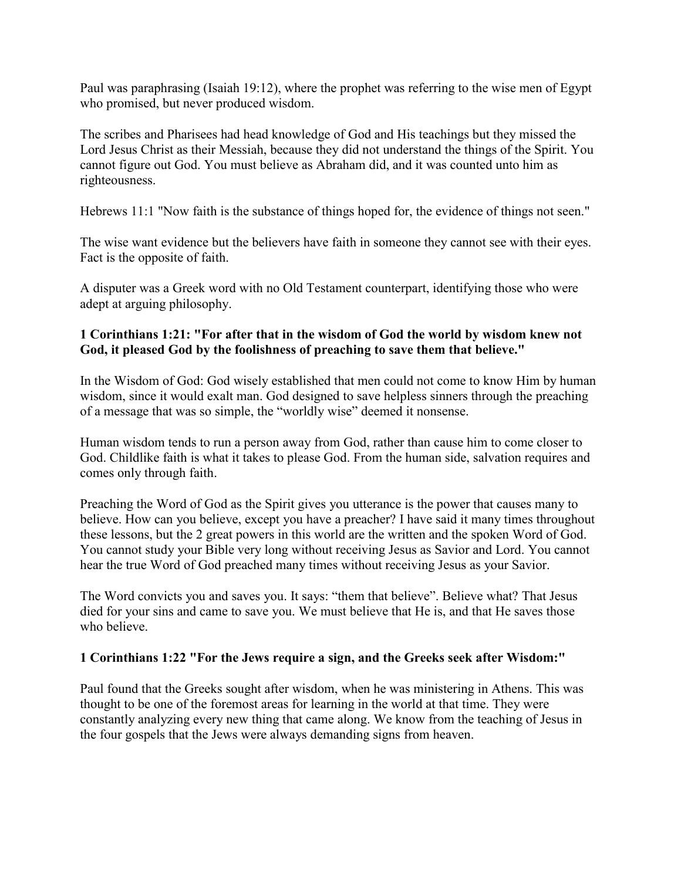Paul was paraphrasing (Isaiah 19:12), where the prophet was referring to the wise men of Egypt who promised, but never produced wisdom.

The scribes and Pharisees had head knowledge of God and His teachings but they missed the Lord Jesus Christ as their Messiah, because they did not understand the things of the Spirit. You cannot figure out God. You must believe as Abraham did, and it was counted unto him as righteousness.

Hebrews 11:1 "Now faith is the substance of things hoped for, the evidence of things not seen."

The wise want evidence but the believers have faith in someone they cannot see with their eyes. Fact is the opposite of faith.

A disputer was a Greek word with no Old Testament counterpart, identifying those who were adept at arguing philosophy.

#### **1 Corinthians 1:21: "For after that in the wisdom of God the world by wisdom knew not God, it pleased God by the foolishness of preaching to save them that believe."**

In the Wisdom of God: God wisely established that men could not come to know Him by human wisdom, since it would exalt man. God designed to save helpless sinners through the preaching of a message that was so simple, the "worldly wise" deemed it nonsense.

Human wisdom tends to run a person away from God, rather than cause him to come closer to God. Childlike faith is what it takes to please God. From the human side, salvation requires and comes only through faith.

Preaching the Word of God as the Spirit gives you utterance is the power that causes many to believe. How can you believe, except you have a preacher? I have said it many times throughout these lessons, but the 2 great powers in this world are the written and the spoken Word of God. You cannot study your Bible very long without receiving Jesus as Savior and Lord. You cannot hear the true Word of God preached many times without receiving Jesus as your Savior.

The Word convicts you and saves you. It says: "them that believe". Believe what? That Jesus died for your sins and came to save you. We must believe that He is, and that He saves those who believe.

#### **1 Corinthians 1:22 "For the Jews require a sign, and the Greeks seek after Wisdom:"**

Paul found that the Greeks sought after wisdom, when he was ministering in Athens. This was thought to be one of the foremost areas for learning in the world at that time. They were constantly analyzing every new thing that came along. We know from the teaching of Jesus in the four gospels that the Jews were always demanding signs from heaven.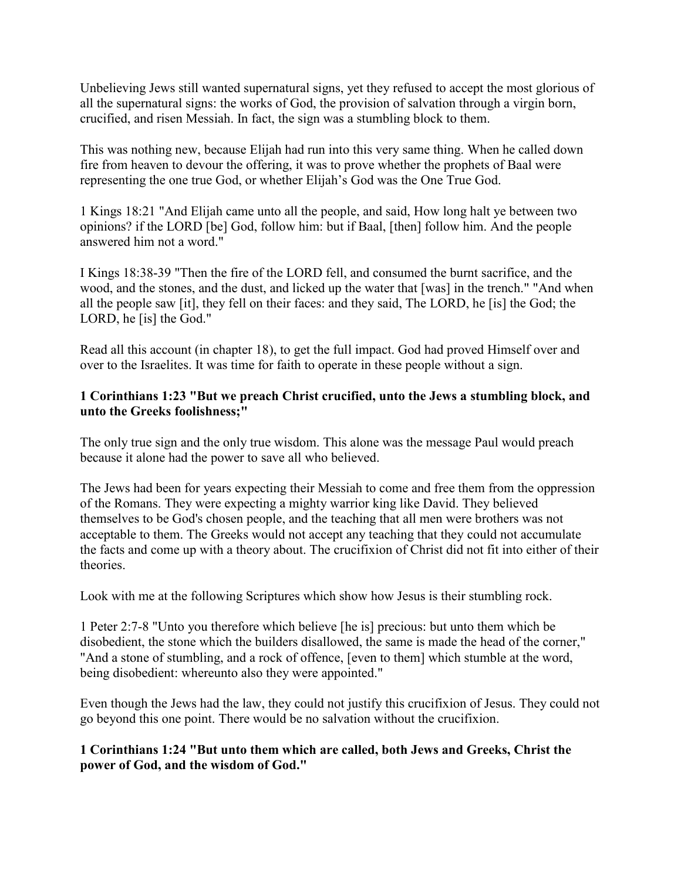Unbelieving Jews still wanted supernatural signs, yet they refused to accept the most glorious of all the supernatural signs: the works of God, the provision of salvation through a virgin born, crucified, and risen Messiah. In fact, the sign was a stumbling block to them.

This was nothing new, because Elijah had run into this very same thing. When he called down fire from heaven to devour the offering, it was to prove whether the prophets of Baal were representing the one true God, or whether Elijah's God was the One True God.

1 Kings 18:21 "And Elijah came unto all the people, and said, How long halt ye between two opinions? if the LORD [be] God, follow him: but if Baal, [then] follow him. And the people answered him not a word."

I Kings 18:38-39 "Then the fire of the LORD fell, and consumed the burnt sacrifice, and the wood, and the stones, and the dust, and licked up the water that [was] in the trench." "And when all the people saw [it], they fell on their faces: and they said, The LORD, he [is] the God; the LORD, he [is] the God."

Read all this account (in chapter 18), to get the full impact. God had proved Himself over and over to the Israelites. It was time for faith to operate in these people without a sign.

#### **1 Corinthians 1:23 "But we preach Christ crucified, unto the Jews a stumbling block, and unto the Greeks foolishness;"**

The only true sign and the only true wisdom. This alone was the message Paul would preach because it alone had the power to save all who believed.

The Jews had been for years expecting their Messiah to come and free them from the oppression of the Romans. They were expecting a mighty warrior king like David. They believed themselves to be God's chosen people, and the teaching that all men were brothers was not acceptable to them. The Greeks would not accept any teaching that they could not accumulate the facts and come up with a theory about. The crucifixion of Christ did not fit into either of their theories.

Look with me at the following Scriptures which show how Jesus is their stumbling rock.

1 Peter 2:7-8 "Unto you therefore which believe [he is] precious: but unto them which be disobedient, the stone which the builders disallowed, the same is made the head of the corner," "And a stone of stumbling, and a rock of offence, [even to them] which stumble at the word, being disobedient: whereunto also they were appointed."

Even though the Jews had the law, they could not justify this crucifixion of Jesus. They could not go beyond this one point. There would be no salvation without the crucifixion.

#### **1 Corinthians 1:24 "But unto them which are called, both Jews and Greeks, Christ the power of God, and the wisdom of God."**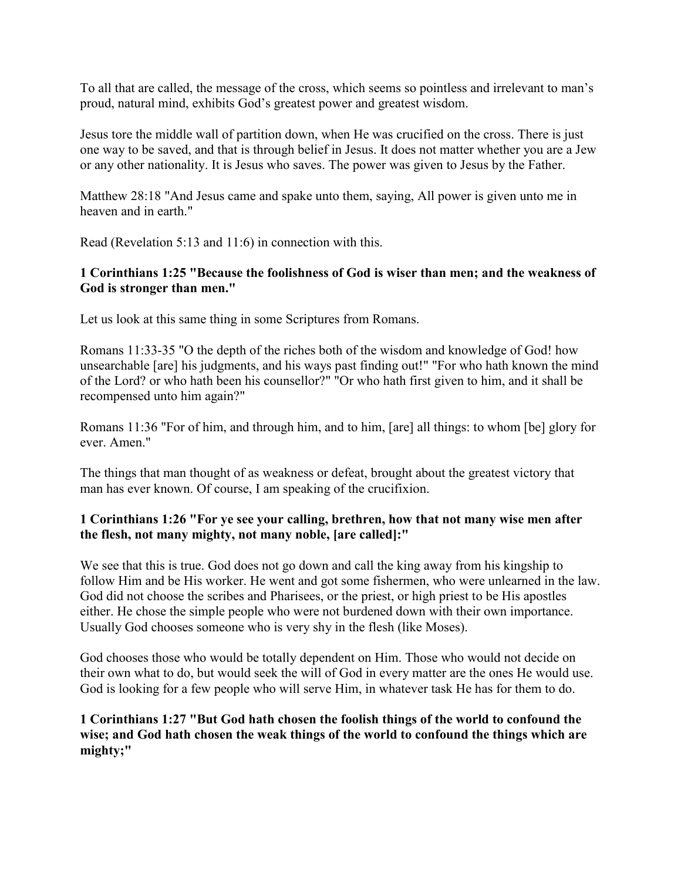To all that are called, the message of the cross, which seems so pointless and irrelevant to man's proud, natural mind, exhibits God's greatest power and greatest wisdom.

Jesus tore the middle wall of partition down, when He was crucified on the cross. There is just one way to be saved, and that is through belief in Jesus. It does not matter whether you are a Jew or any other nationality. It is Jesus who saves. The power was given to Jesus by the Father.

Matthew 28:18 "And Jesus came and spake unto them, saying, All power is given unto me in heaven and in earth."

Read (Revelation 5:13 and 11:6) in connection with this.

#### **1 Corinthians 1:25 "Because the foolishness of God is wiser than men; and the weakness of God is stronger than men."**

Let us look at this same thing in some Scriptures from Romans.

Romans 11:33-35 "O the depth of the riches both of the wisdom and knowledge of God! how unsearchable [are] his judgments, and his ways past finding out!" "For who hath known the mind of the Lord? or who hath been his counsellor?" "Or who hath first given to him, and it shall be recompensed unto him again?"

Romans 11:36 "For of him, and through him, and to him, [are] all things: to whom [be] glory for ever. Amen."

The things that man thought of as weakness or defeat, brought about the greatest victory that man has ever known. Of course, I am speaking of the crucifixion.

#### **1 Corinthians 1:26 "For ye see your calling, brethren, how that not many wise men after the flesh, not many mighty, not many noble, [are called]:"**

We see that this is true. God does not go down and call the king away from his kingship to follow Him and be His worker. He went and got some fishermen, who were unlearned in the law. God did not choose the scribes and Pharisees, or the priest, or high priest to be His apostles either. He chose the simple people who were not burdened down with their own importance. Usually God chooses someone who is very shy in the flesh (like Moses).

God chooses those who would be totally dependent on Him. Those who would not decide on their own what to do, but would seek the will of God in every matter are the ones He would use. God is looking for a few people who will serve Him, in whatever task He has for them to do.

**1 Corinthians 1:27 "But God hath chosen the foolish things of the world to confound the wise; and God hath chosen the weak things of the world to confound the things which are mighty;"**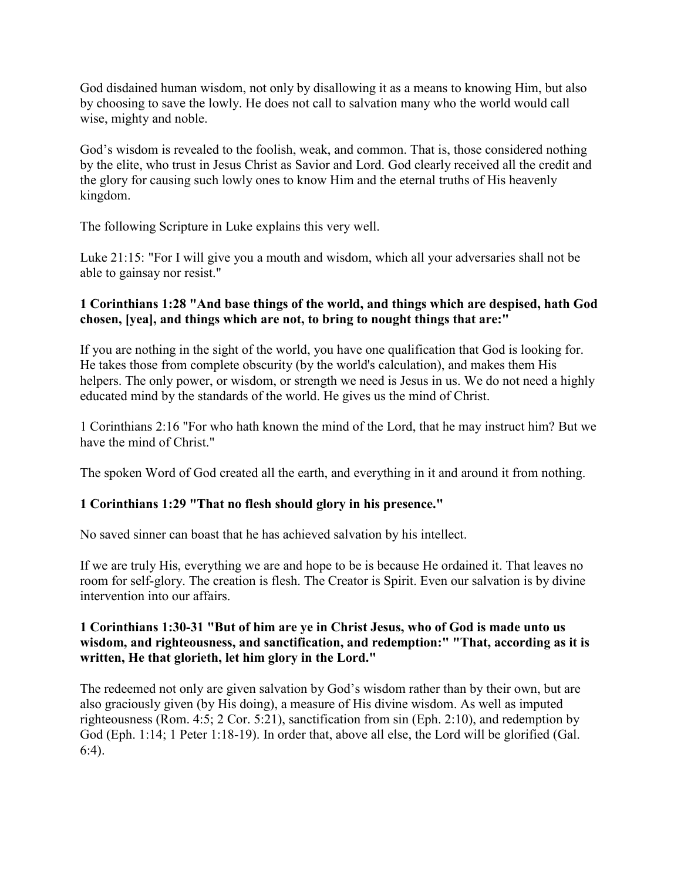God disdained human wisdom, not only by disallowing it as a means to knowing Him, but also by choosing to save the lowly. He does not call to salvation many who the world would call wise, mighty and noble.

God's wisdom is revealed to the foolish, weak, and common. That is, those considered nothing by the elite, who trust in Jesus Christ as Savior and Lord. God clearly received all the credit and the glory for causing such lowly ones to know Him and the eternal truths of His heavenly kingdom.

The following Scripture in Luke explains this very well.

Luke 21:15: "For I will give you a mouth and wisdom, which all your adversaries shall not be able to gainsay nor resist."

### **1 Corinthians 1:28 "And base things of the world, and things which are despised, hath God chosen, [yea], and things which are not, to bring to nought things that are:"**

If you are nothing in the sight of the world, you have one qualification that God is looking for. He takes those from complete obscurity (by the world's calculation), and makes them His helpers. The only power, or wisdom, or strength we need is Jesus in us. We do not need a highly educated mind by the standards of the world. He gives us the mind of Christ.

1 Corinthians 2:16 "For who hath known the mind of the Lord, that he may instruct him? But we have the mind of Christ."

The spoken Word of God created all the earth, and everything in it and around it from nothing.

## **1 Corinthians 1:29 "That no flesh should glory in his presence."**

No saved sinner can boast that he has achieved salvation by his intellect.

If we are truly His, everything we are and hope to be is because He ordained it. That leaves no room for self-glory. The creation is flesh. The Creator is Spirit. Even our salvation is by divine intervention into our affairs.

#### **1 Corinthians 1:30-31 "But of him are ye in Christ Jesus, who of God is made unto us wisdom, and righteousness, and sanctification, and redemption:" "That, according as it is written, He that glorieth, let him glory in the Lord."**

The redeemed not only are given salvation by God's wisdom rather than by their own, but are also graciously given (by His doing), a measure of His divine wisdom. As well as imputed righteousness (Rom. 4:5; 2 Cor. 5:21), sanctification from sin (Eph. 2:10), and redemption by God (Eph. 1:14; 1 Peter 1:18-19). In order that, above all else, the Lord will be glorified (Gal. 6:4).